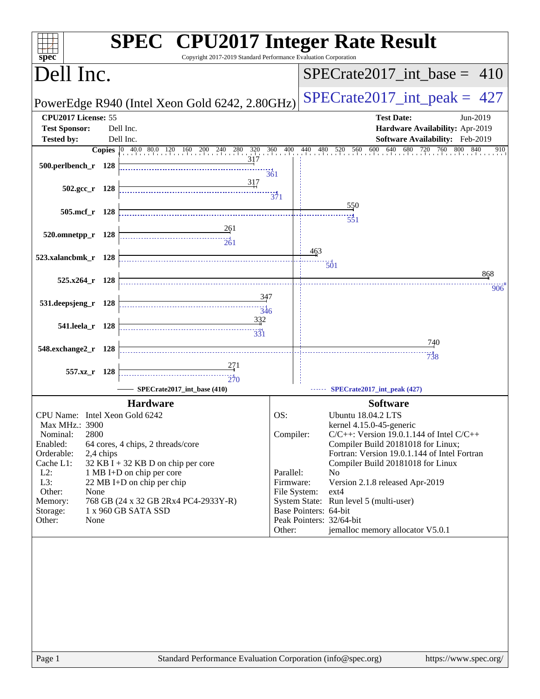| $s\overline{p}\overline{e}\overline{c}$                                                                                                                                                                                                                                                                                                                                                                                      | Copyright 2017-2019 Standard Performance Evaluation Corporation |                                                                      |                       | <b>SPEC<sup>®</sup></b> CPU2017 Integer Rate Result                                                                                                                                                                                                                                                                                                                                                      |
|------------------------------------------------------------------------------------------------------------------------------------------------------------------------------------------------------------------------------------------------------------------------------------------------------------------------------------------------------------------------------------------------------------------------------|-----------------------------------------------------------------|----------------------------------------------------------------------|-----------------------|----------------------------------------------------------------------------------------------------------------------------------------------------------------------------------------------------------------------------------------------------------------------------------------------------------------------------------------------------------------------------------------------------------|
| Dell Inc.                                                                                                                                                                                                                                                                                                                                                                                                                    |                                                                 |                                                                      |                       | $SPECTate2017\_int\_base = 410$                                                                                                                                                                                                                                                                                                                                                                          |
| PowerEdge R940 (Intel Xeon Gold 6242, 2.80GHz)                                                                                                                                                                                                                                                                                                                                                                               |                                                                 |                                                                      |                       | $SPECrate2017\_int\_peak = 427$                                                                                                                                                                                                                                                                                                                                                                          |
| CPU2017 License: 55<br><b>Test Sponsor:</b><br>Dell Inc.<br>Dell Inc.<br><b>Tested by:</b><br><b>Copies</b> 0 40.0 80.0 120 160 200 240 280 320 360 400 440 480 520 560 600 640 68                                                                                                                                                                                                                                           |                                                                 |                                                                      |                       | <b>Test Date:</b><br>Jun-2019<br>Hardware Availability: Apr-2019<br>Software Availability: Feb-2019<br>680 720 760<br>800 840<br>910                                                                                                                                                                                                                                                                     |
| 500.perlbench_r 128                                                                                                                                                                                                                                                                                                                                                                                                          | 317<br>361                                                      |                                                                      |                       |                                                                                                                                                                                                                                                                                                                                                                                                          |
| $502.\text{gcc r}$ 128                                                                                                                                                                                                                                                                                                                                                                                                       | 317<br>$\frac{1}{371}$                                          |                                                                      |                       |                                                                                                                                                                                                                                                                                                                                                                                                          |
| 505.mcf_r 128                                                                                                                                                                                                                                                                                                                                                                                                                |                                                                 |                                                                      |                       | 550<br>551                                                                                                                                                                                                                                                                                                                                                                                               |
| 520.omnetpp_r 128                                                                                                                                                                                                                                                                                                                                                                                                            | $\frac{261}{2}$<br>$\frac{1}{261}$                              |                                                                      |                       |                                                                                                                                                                                                                                                                                                                                                                                                          |
| 523.xalancbmk_r 128                                                                                                                                                                                                                                                                                                                                                                                                          |                                                                 |                                                                      | 463                   | $\overline{501}$<br>868                                                                                                                                                                                                                                                                                                                                                                                  |
| 525.x264_r 128                                                                                                                                                                                                                                                                                                                                                                                                               | 347                                                             |                                                                      |                       | 906                                                                                                                                                                                                                                                                                                                                                                                                      |
| 531.deepsjeng_r 128                                                                                                                                                                                                                                                                                                                                                                                                          | 346<br>332                                                      |                                                                      |                       |                                                                                                                                                                                                                                                                                                                                                                                                          |
| 541.leela r 128                                                                                                                                                                                                                                                                                                                                                                                                              | $\frac{1}{331}$                                                 |                                                                      |                       | 740                                                                                                                                                                                                                                                                                                                                                                                                      |
| 548.exchange2_r 128                                                                                                                                                                                                                                                                                                                                                                                                          |                                                                 |                                                                      |                       | 738                                                                                                                                                                                                                                                                                                                                                                                                      |
| 557.xz_r 128<br>SPECrate2017_int_base (410)                                                                                                                                                                                                                                                                                                                                                                                  | 270                                                             |                                                                      |                       | SPECrate2017_int_peak (427)                                                                                                                                                                                                                                                                                                                                                                              |
| <b>Hardware</b><br>CPU Name: Intel Xeon Gold 6242<br>Max MHz.: 3900<br>2800<br>Nominal:<br>Enabled:<br>64 cores, 4 chips, 2 threads/core<br>Orderable:<br>2,4 chips<br>32 KB I + 32 KB D on chip per core<br>Cache L1:<br>$L2$ :<br>1 MB I+D on chip per core<br>L3:<br>22 MB I+D on chip per chip<br>Other:<br>None<br>768 GB (24 x 32 GB 2Rx4 PC4-2933Y-R)<br>Memory:<br>1 x 960 GB SATA SSD<br>Storage:<br>Other:<br>None |                                                                 | OS:<br>Compiler:<br>Parallel:<br>Firmware:<br>File System:<br>Other: | Base Pointers: 64-bit | <b>Software</b><br>Ubuntu 18.04.2 LTS<br>kernel 4.15.0-45-generic<br>$C/C++$ : Version 19.0.1.144 of Intel $C/C++$<br>Compiler Build 20181018 for Linux;<br>Fortran: Version 19.0.1.144 of Intel Fortran<br>Compiler Build 20181018 for Linux<br>No<br>Version 2.1.8 released Apr-2019<br>ext4<br>System State: Run level 5 (multi-user)<br>Peak Pointers: 32/64-bit<br>jemalloc memory allocator V5.0.1 |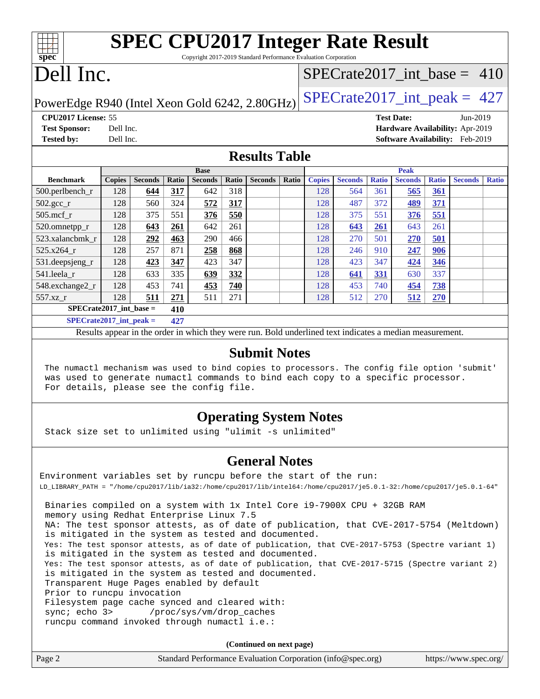| <b>SPEC CPU2017 Integer Rate Result</b>                         |  |
|-----------------------------------------------------------------|--|
| Copyright 2017-2019 Standard Performance Evaluation Corporation |  |
|                                                                 |  |

# Dell Inc.

**[spec](http://www.spec.org/)**

## [SPECrate2017\\_int\\_base =](http://www.spec.org/auto/cpu2017/Docs/result-fields.html#SPECrate2017intbase) 410

PowerEdge R940 (Intel Xeon Gold 6242, 2.80GHz)  $\text{SPECrate}2017\_int\_peak = 427$ 

**[CPU2017 License:](http://www.spec.org/auto/cpu2017/Docs/result-fields.html#CPU2017License)** 55 **[Test Date:](http://www.spec.org/auto/cpu2017/Docs/result-fields.html#TestDate)** Jun-2019 **[Test Sponsor:](http://www.spec.org/auto/cpu2017/Docs/result-fields.html#TestSponsor)** Dell Inc. **[Hardware Availability:](http://www.spec.org/auto/cpu2017/Docs/result-fields.html#HardwareAvailability)** Apr-2019 **[Tested by:](http://www.spec.org/auto/cpu2017/Docs/result-fields.html#Testedby)** Dell Inc. **[Software Availability:](http://www.spec.org/auto/cpu2017/Docs/result-fields.html#SoftwareAvailability)** Feb-2019

### **[Results Table](http://www.spec.org/auto/cpu2017/Docs/result-fields.html#ResultsTable)**

|                             | <b>Base</b>   |                |       |                |       |                |       | <b>Peak</b>   |                |              |                |              |                |              |
|-----------------------------|---------------|----------------|-------|----------------|-------|----------------|-------|---------------|----------------|--------------|----------------|--------------|----------------|--------------|
| <b>Benchmark</b>            | <b>Copies</b> | <b>Seconds</b> | Ratio | <b>Seconds</b> | Ratio | <b>Seconds</b> | Ratio | <b>Copies</b> | <b>Seconds</b> | <b>Ratio</b> | <b>Seconds</b> | <b>Ratio</b> | <b>Seconds</b> | <b>Ratio</b> |
| 500.perlbench_r             | 128           | 644            | 317   | 642            | 318   |                |       | 128           | 564            | 361          | 565            | <u>361</u>   |                |              |
| $502.\text{gcc}_r$          | 128           | 560            | 324   | 572            | 317   |                |       | 128           | 487            | 372          | <u>489</u>     | <u>371</u>   |                |              |
| $505$ .mcf r                | 128           | 375            | 551   | 376            | 550   |                |       | 128           | 375            | 551          | 376            | 551          |                |              |
| 520.omnetpp_r               | 128           | 643            | 261   | 642            | 261   |                |       | 128           | 643            | 261          | 643            | 261          |                |              |
| 523.xalancbmk r             | 128           | 292            | 463   | 290            | 466   |                |       | 128           | 270            | 501          | 270            | 501          |                |              |
| $525.x264$ r                | 128           | 257            | 871   | 258            | 868   |                |       | 128           | 246            | 910          | 247            | 906          |                |              |
| 531.deepsjeng_r             | 128           | 423            | 347   | 423            | 347   |                |       | 128           | 423            | 347          | 424            | 346          |                |              |
| 541.leela r                 | 128           | 633            | 335   | 639            | 332   |                |       | 128           | 641            | 331          | 630            | 337          |                |              |
| 548.exchange2_r             | 128           | 453            | 741   | 453            | 740   |                |       | 128           | 453            | 740          | 454            | <b>738</b>   |                |              |
| 557.xz r                    | 128           | 511            | 271   | 511            | 271   |                |       | 128           | 512            | 270          | 512            | 270          |                |              |
| $SPECrate2017\_int\_base =$ | 410           |                |       |                |       |                |       |               |                |              |                |              |                |              |
| $SPECrate2017\_int\_peak =$ |               |                | 427   |                |       |                |       |               |                |              |                |              |                |              |

Results appear in the [order in which they were run](http://www.spec.org/auto/cpu2017/Docs/result-fields.html#RunOrder). Bold underlined text [indicates a median measurement](http://www.spec.org/auto/cpu2017/Docs/result-fields.html#Median).

### **[Submit Notes](http://www.spec.org/auto/cpu2017/Docs/result-fields.html#SubmitNotes)**

 The numactl mechanism was used to bind copies to processors. The config file option 'submit' was used to generate numactl commands to bind each copy to a specific processor. For details, please see the config file.

## **[Operating System Notes](http://www.spec.org/auto/cpu2017/Docs/result-fields.html#OperatingSystemNotes)**

Stack size set to unlimited using "ulimit -s unlimited"

### **[General Notes](http://www.spec.org/auto/cpu2017/Docs/result-fields.html#GeneralNotes)**

Environment variables set by runcpu before the start of the run: LD\_LIBRARY\_PATH = "/home/cpu2017/lib/ia32:/home/cpu2017/lib/intel64:/home/cpu2017/je5.0.1-32:/home/cpu2017/je5.0.1-64" Binaries compiled on a system with 1x Intel Core i9-7900X CPU + 32GB RAM memory using Redhat Enterprise Linux 7.5 NA: The test sponsor attests, as of date of publication, that CVE-2017-5754 (Meltdown) is mitigated in the system as tested and documented. Yes: The test sponsor attests, as of date of publication, that CVE-2017-5753 (Spectre variant 1) is mitigated in the system as tested and documented. Yes: The test sponsor attests, as of date of publication, that CVE-2017-5715 (Spectre variant 2) is mitigated in the system as tested and documented. Transparent Huge Pages enabled by default Prior to runcpu invocation Filesystem page cache synced and cleared with: sync; echo 3> /proc/sys/vm/drop\_caches runcpu command invoked through numactl i.e.:

**(Continued on next page)**

| Page 2 | Standard Performance Evaluation Corporation (info@spec.org) | https://www.spec.org/ |
|--------|-------------------------------------------------------------|-----------------------|
|        |                                                             |                       |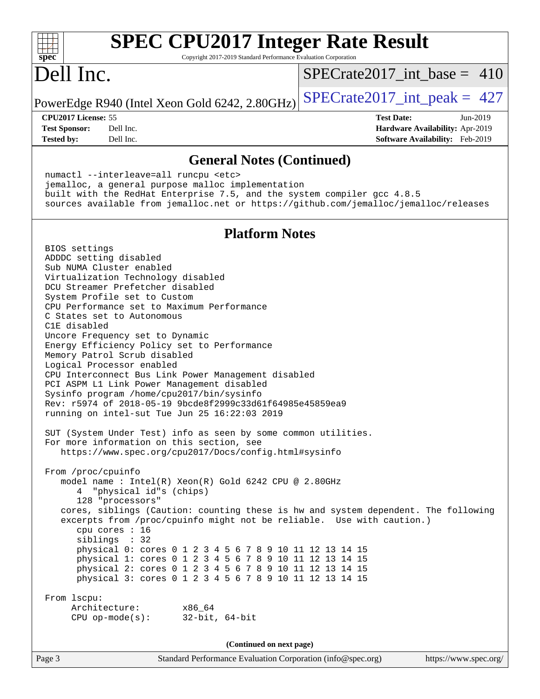### **[SPEC CPU2017 Integer Rate Result](http://www.spec.org/auto/cpu2017/Docs/result-fields.html#SPECCPU2017IntegerRateResult)**  $+\ +$ **[spec](http://www.spec.org/)** Copyright 2017-2019 Standard Performance Evaluation Corporation Dell Inc. [SPECrate2017\\_int\\_base =](http://www.spec.org/auto/cpu2017/Docs/result-fields.html#SPECrate2017intbase) 410 PowerEdge R940 (Intel Xeon Gold 6242, 2.80GHz)  $\text{SPECrate2017\_int\_peak} = 427$ **[CPU2017 License:](http://www.spec.org/auto/cpu2017/Docs/result-fields.html#CPU2017License)** 55 **[Test Date:](http://www.spec.org/auto/cpu2017/Docs/result-fields.html#TestDate)** Jun-2019 **[Test Sponsor:](http://www.spec.org/auto/cpu2017/Docs/result-fields.html#TestSponsor)** Dell Inc. **[Hardware Availability:](http://www.spec.org/auto/cpu2017/Docs/result-fields.html#HardwareAvailability)** Apr-2019 **[Tested by:](http://www.spec.org/auto/cpu2017/Docs/result-fields.html#Testedby)** Dell Inc. **[Software Availability:](http://www.spec.org/auto/cpu2017/Docs/result-fields.html#SoftwareAvailability)** Feb-2019 **[General Notes \(Continued\)](http://www.spec.org/auto/cpu2017/Docs/result-fields.html#GeneralNotes)** numactl --interleave=all runcpu <etc> jemalloc, a general purpose malloc implementation built with the RedHat Enterprise 7.5, and the system compiler gcc 4.8.5 sources available from jemalloc.net or <https://github.com/jemalloc/jemalloc/releases> **[Platform Notes](http://www.spec.org/auto/cpu2017/Docs/result-fields.html#PlatformNotes)** BIOS settings ADDDC setting disabled Sub NUMA Cluster enabled Virtualization Technology disabled DCU Streamer Prefetcher disabled System Profile set to Custom CPU Performance set to Maximum Performance C States set to Autonomous C1E disabled Uncore Frequency set to Dynamic Energy Efficiency Policy set to Performance Memory Patrol Scrub disabled Logical Processor enabled CPU Interconnect Bus Link Power Management disabled PCI ASPM L1 Link Power Management disabled Sysinfo program /home/cpu2017/bin/sysinfo Rev: r5974 of 2018-05-19 9bcde8f2999c33d61f64985e45859ea9 running on intel-sut Tue Jun 25 16:22:03 2019 SUT (System Under Test) info as seen by some common utilities. For more information on this section, see <https://www.spec.org/cpu2017/Docs/config.html#sysinfo> From /proc/cpuinfo model name : Intel(R) Xeon(R) Gold 6242 CPU @ 2.80GHz 4 "physical id"s (chips) 128 "processors" cores, siblings (Caution: counting these is hw and system dependent. The following excerpts from /proc/cpuinfo might not be reliable. Use with caution.) cpu cores : 16 siblings : 32 physical 0: cores 0 1 2 3 4 5 6 7 8 9 10 11 12 13 14 15 physical 1: cores 0 1 2 3 4 5 6 7 8 9 10 11 12 13 14 15 physical 2: cores 0 1 2 3 4 5 6 7 8 9 10 11 12 13 14 15 physical 3: cores 0 1 2 3 4 5 6 7 8 9 10 11 12 13 14 15 From lscpu: Architecture: x86\_64 CPU op-mode(s): 32-bit, 64-bit **(Continued on next page)**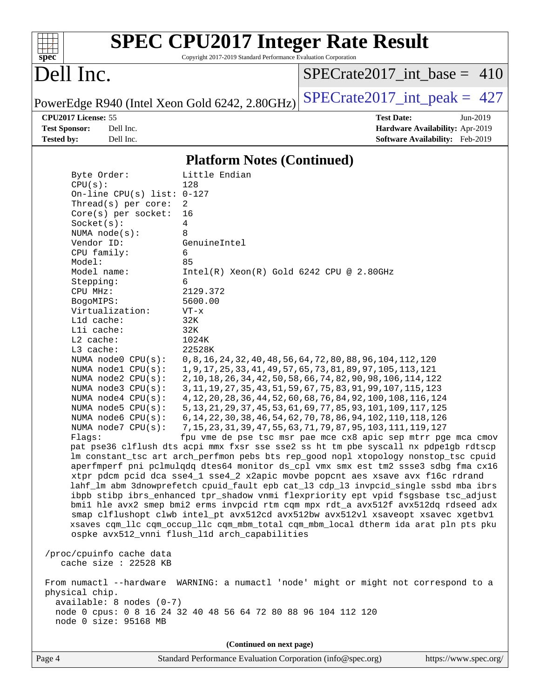

# **[SPEC CPU2017 Integer Rate Result](http://www.spec.org/auto/cpu2017/Docs/result-fields.html#SPECCPU2017IntegerRateResult)**

Copyright 2017-2019 Standard Performance Evaluation Corporation

# Dell Inc.

[SPECrate2017\\_int\\_base =](http://www.spec.org/auto/cpu2017/Docs/result-fields.html#SPECrate2017intbase) 410

PowerEdge R940 (Intel Xeon Gold 6242, 2.80GHz)  $\text{SPECrate2017\_int\_peak} = 427$ 

**[Test Sponsor:](http://www.spec.org/auto/cpu2017/Docs/result-fields.html#TestSponsor)** Dell Inc. **[Hardware Availability:](http://www.spec.org/auto/cpu2017/Docs/result-fields.html#HardwareAvailability)** Apr-2019 **[Tested by:](http://www.spec.org/auto/cpu2017/Docs/result-fields.html#Testedby)** Dell Inc. **[Software Availability:](http://www.spec.org/auto/cpu2017/Docs/result-fields.html#SoftwareAvailability)** Feb-2019

**[CPU2017 License:](http://www.spec.org/auto/cpu2017/Docs/result-fields.html#CPU2017License)** 55 **[Test Date:](http://www.spec.org/auto/cpu2017/Docs/result-fields.html#TestDate)** Jun-2019

**[Platform Notes \(Continued\)](http://www.spec.org/auto/cpu2017/Docs/result-fields.html#PlatformNotes)**

| Byte Order:                                      | Little Endian                                                                                                                                                              |
|--------------------------------------------------|----------------------------------------------------------------------------------------------------------------------------------------------------------------------------|
| CPU(s):                                          | 128                                                                                                                                                                        |
| On-line CPU(s) list: $0-127$                     |                                                                                                                                                                            |
| Thread( $s$ ) per core:<br>$Core(s)$ per socket: | 2<br>16                                                                                                                                                                    |
|                                                  | 4                                                                                                                                                                          |
| Socket(s):<br>NUMA $node(s):$                    | 8                                                                                                                                                                          |
| Vendor ID:                                       | GenuineIntel                                                                                                                                                               |
| CPU family:                                      | 6                                                                                                                                                                          |
| Model:                                           | 85                                                                                                                                                                         |
| Model name:                                      | $Intel(R)$ Xeon $(R)$ Gold 6242 CPU @ 2.80GHz                                                                                                                              |
| Stepping:                                        | 6                                                                                                                                                                          |
| CPU MHz:                                         | 2129.372                                                                                                                                                                   |
| BogoMIPS:                                        | 5600.00                                                                                                                                                                    |
| Virtualization:                                  | $VT - x$                                                                                                                                                                   |
| L1d cache:                                       | 32K                                                                                                                                                                        |
| Lli cache:                                       | 32K                                                                                                                                                                        |
| $L2$ cache:                                      | 1024K                                                                                                                                                                      |
| L3 cache:                                        | 22528K                                                                                                                                                                     |
| NUMA node0 CPU(s):                               | 0, 8, 16, 24, 32, 40, 48, 56, 64, 72, 80, 88, 96, 104, 112, 120                                                                                                            |
| NUMA nodel CPU(s):                               | 1, 9, 17, 25, 33, 41, 49, 57, 65, 73, 81, 89, 97, 105, 113, 121                                                                                                            |
| NUMA node2 CPU(s):                               | 2, 10, 18, 26, 34, 42, 50, 58, 66, 74, 82, 90, 98, 106, 114, 122                                                                                                           |
| NUMA node3 CPU(s):                               | 3, 11, 19, 27, 35, 43, 51, 59, 67, 75, 83, 91, 99, 107, 115, 123                                                                                                           |
| NUMA node4 CPU(s):                               | 4, 12, 20, 28, 36, 44, 52, 60, 68, 76, 84, 92, 100, 108, 116, 124                                                                                                          |
| NUMA node5 CPU(s):                               | 5, 13, 21, 29, 37, 45, 53, 61, 69, 77, 85, 93, 101, 109, 117, 125                                                                                                          |
| NUMA node6 CPU(s):                               | 6, 14, 22, 30, 38, 46, 54, 62, 70, 78, 86, 94, 102, 110, 118, 126                                                                                                          |
| NUMA node7 CPU(s):                               | 7, 15, 23, 31, 39, 47, 55, 63, 71, 79, 87, 95, 103, 111, 119, 127                                                                                                          |
| Flaqs:                                           | fpu vme de pse tsc msr pae mce cx8 apic sep mtrr pge mca cmov                                                                                                              |
|                                                  | pat pse36 clflush dts acpi mmx fxsr sse sse2 ss ht tm pbe syscall nx pdpelgb rdtscp                                                                                        |
|                                                  | lm constant_tsc art arch_perfmon pebs bts rep_good nopl xtopology nonstop_tsc cpuid                                                                                        |
|                                                  | aperfmperf pni pclmulqdq dtes64 monitor ds_cpl vmx smx est tm2 ssse3 sdbg fma cx16                                                                                         |
|                                                  | xtpr pdcm pcid dca sse4_1 sse4_2 x2apic movbe popcnt aes xsave avx f16c rdrand                                                                                             |
|                                                  | lahf_lm abm 3dnowprefetch cpuid_fault epb cat_13 cdp_13 invpcid_single ssbd mba ibrs<br>ibpb stibp ibrs_enhanced tpr_shadow vnmi flexpriority ept vpid fsgsbase tsc_adjust |
|                                                  |                                                                                                                                                                            |
|                                                  | bmil hle avx2 smep bmi2 erms invpcid rtm cqm mpx rdt_a avx512f avx512dq rdseed adx<br>smap clflushopt clwb intel_pt avx512cd avx512bw avx512vl xsaveopt xsavec xgetbvl     |
|                                                  | xsaves cqm_llc cqm_occup_llc cqm_mbm_total cqm_mbm_local dtherm ida arat pln pts pku                                                                                       |
|                                                  | ospke avx512_vnni flush_l1d arch_capabilities                                                                                                                              |
|                                                  |                                                                                                                                                                            |
| /proc/cpuinfo cache data                         |                                                                                                                                                                            |
| cache size : 22528 KB                            |                                                                                                                                                                            |
|                                                  |                                                                                                                                                                            |
|                                                  | From numactl --hardware WARNING: a numactl 'node' might or might not correspond to a                                                                                       |
| physical chip.                                   |                                                                                                                                                                            |
| $available: 8 nodes (0-7)$                       |                                                                                                                                                                            |
|                                                  | node 0 cpus: 0 8 16 24 32 40 48 56 64 72 80 88 96 104 112 120                                                                                                              |
| node 0 size: 95168 MB                            |                                                                                                                                                                            |
|                                                  |                                                                                                                                                                            |
|                                                  |                                                                                                                                                                            |

**(Continued on next page)**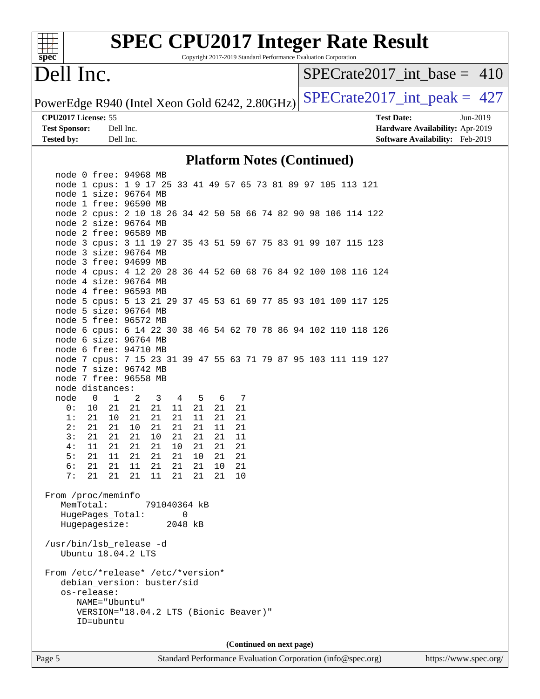| $sp\overline{ec}$                              |                                   | <b>SPEC CPU2017 Integer Rate Result</b>                         |              |          |          |          | Copyright 2017-2019 Standard Performance Evaluation Corporation |  |  |                   |                                 |          |  |
|------------------------------------------------|-----------------------------------|-----------------------------------------------------------------|--------------|----------|----------|----------|-----------------------------------------------------------------|--|--|-------------------|---------------------------------|----------|--|
| Dell Inc.                                      |                                   |                                                                 |              |          |          |          |                                                                 |  |  |                   | $SPECrate2017\_int\_base = 410$ |          |  |
| PowerEdge R940 (Intel Xeon Gold 6242, 2.80GHz) |                                   |                                                                 |              |          |          |          |                                                                 |  |  |                   | $SPECrate2017\_int\_peak = 427$ |          |  |
| CPU2017 License: 55                            |                                   |                                                                 |              |          |          |          |                                                                 |  |  | <b>Test Date:</b> |                                 | Jun-2019 |  |
| <b>Test Sponsor:</b>                           | Dell Inc.                         |                                                                 |              |          |          |          |                                                                 |  |  |                   | Hardware Availability: Apr-2019 |          |  |
| <b>Tested by:</b>                              | Dell Inc.                         |                                                                 |              |          |          |          |                                                                 |  |  |                   | Software Availability: Feb-2019 |          |  |
|                                                |                                   |                                                                 |              |          |          |          | <b>Platform Notes (Continued)</b>                               |  |  |                   |                                 |          |  |
|                                                |                                   | node 0 free: 94968 MB                                           |              |          |          |          |                                                                 |  |  |                   |                                 |          |  |
|                                                |                                   | node 1 cpus: 1 9 17 25 33 41 49 57 65 73 81 89 97 105 113 121   |              |          |          |          |                                                                 |  |  |                   |                                 |          |  |
|                                                |                                   | node 1 size: 96764 MB<br>node 1 free: 96590 MB                  |              |          |          |          |                                                                 |  |  |                   |                                 |          |  |
|                                                |                                   | node 2 cpus: 2 10 18 26 34 42 50 58 66 74 82 90 98 106 114 122  |              |          |          |          |                                                                 |  |  |                   |                                 |          |  |
|                                                |                                   | node 2 size: 96764 MB                                           |              |          |          |          |                                                                 |  |  |                   |                                 |          |  |
|                                                |                                   | node 2 free: 96589 MB                                           |              |          |          |          |                                                                 |  |  |                   |                                 |          |  |
|                                                |                                   | node 3 cpus: 3 11 19 27 35 43 51 59 67 75 83 91 99 107 115 123  |              |          |          |          |                                                                 |  |  |                   |                                 |          |  |
|                                                |                                   | node 3 size: 96764 MB                                           |              |          |          |          |                                                                 |  |  |                   |                                 |          |  |
|                                                |                                   | node 3 free: 94699 MB                                           |              |          |          |          |                                                                 |  |  |                   |                                 |          |  |
|                                                |                                   | node 4 cpus: 4 12 20 28 36 44 52 60 68 76 84 92 100 108 116 124 |              |          |          |          |                                                                 |  |  |                   |                                 |          |  |
|                                                |                                   | node 4 size: 96764 MB                                           |              |          |          |          |                                                                 |  |  |                   |                                 |          |  |
|                                                |                                   | node 4 free: 96593 MB                                           |              |          |          |          |                                                                 |  |  |                   |                                 |          |  |
|                                                |                                   | node 5 cpus: 5 13 21 29 37 45 53 61 69 77 85 93 101 109 117 125 |              |          |          |          |                                                                 |  |  |                   |                                 |          |  |
|                                                |                                   | node 5 size: 96764 MB<br>node 5 free: 96572 MB                  |              |          |          |          |                                                                 |  |  |                   |                                 |          |  |
|                                                |                                   | node 6 cpus: 6 14 22 30 38 46 54 62 70 78 86 94 102 110 118 126 |              |          |          |          |                                                                 |  |  |                   |                                 |          |  |
|                                                |                                   | node 6 size: 96764 MB                                           |              |          |          |          |                                                                 |  |  |                   |                                 |          |  |
|                                                |                                   | node 6 free: 94710 MB                                           |              |          |          |          |                                                                 |  |  |                   |                                 |          |  |
|                                                |                                   | node 7 cpus: 7 15 23 31 39 47 55 63 71 79 87 95 103 111 119 127 |              |          |          |          |                                                                 |  |  |                   |                                 |          |  |
|                                                |                                   | node 7 size: 96742 MB                                           |              |          |          |          |                                                                 |  |  |                   |                                 |          |  |
|                                                |                                   | node 7 free: 96558 MB                                           |              |          |          |          |                                                                 |  |  |                   |                                 |          |  |
|                                                | node distances:                   |                                                                 |              |          |          |          |                                                                 |  |  |                   |                                 |          |  |
| node                                           | $\mathbf{0}$<br>1                 | 2<br>3                                                          | 4            | 5        | 6        | 7        |                                                                 |  |  |                   |                                 |          |  |
| 0 :<br>1:                                      | 21<br>10<br>21<br>10              | 21<br>21<br>21<br>21                                            | 11<br>21     | 21<br>11 | 21<br>21 | 21<br>21 |                                                                 |  |  |                   |                                 |          |  |
| 2:                                             | 21                                | 21 10<br>21                                                     | 21           | 21       | 11       | 21       |                                                                 |  |  |                   |                                 |          |  |
| 3 :                                            | 21<br>21                          | 21<br>$10\,$                                                    | 21           | 21       | 21       | 11       |                                                                 |  |  |                   |                                 |          |  |
| 4:                                             | 21<br>11                          | 21<br>21                                                        | 10           | 21       | 21       | 21       |                                                                 |  |  |                   |                                 |          |  |
| 5:                                             | 11<br>21                          | 21<br>21                                                        | 21           | 10       | 21       | 21       |                                                                 |  |  |                   |                                 |          |  |
| 6 :                                            | 21<br>21                          | 11<br>21                                                        | 21           | 21       | 10       | 21       |                                                                 |  |  |                   |                                 |          |  |
| 7:                                             | 21<br>21                          | 21<br>11                                                        | 21           | 21       | 21       | 10       |                                                                 |  |  |                   |                                 |          |  |
|                                                |                                   |                                                                 |              |          |          |          |                                                                 |  |  |                   |                                 |          |  |
| From /proc/meminfo                             |                                   |                                                                 |              |          |          |          |                                                                 |  |  |                   |                                 |          |  |
|                                                | MemTotal:                         |                                                                 | 791040364 kB |          |          |          |                                                                 |  |  |                   |                                 |          |  |
|                                                | HugePages_Total:<br>Hugepagesize: |                                                                 | 0<br>2048 kB |          |          |          |                                                                 |  |  |                   |                                 |          |  |
|                                                |                                   |                                                                 |              |          |          |          |                                                                 |  |  |                   |                                 |          |  |
|                                                | Ubuntu 18.04.2 LTS                | /usr/bin/lsb_release -d                                         |              |          |          |          |                                                                 |  |  |                   |                                 |          |  |
|                                                |                                   |                                                                 |              |          |          |          |                                                                 |  |  |                   |                                 |          |  |
|                                                |                                   | From /etc/*release* /etc/*version*                              |              |          |          |          |                                                                 |  |  |                   |                                 |          |  |
|                                                |                                   | debian_version: buster/sid                                      |              |          |          |          |                                                                 |  |  |                   |                                 |          |  |
|                                                | os-release:                       |                                                                 |              |          |          |          |                                                                 |  |  |                   |                                 |          |  |
|                                                | NAME="Ubuntu"                     |                                                                 |              |          |          |          |                                                                 |  |  |                   |                                 |          |  |
|                                                |                                   | VERSION="18.04.2 LTS (Bionic Beaver)"                           |              |          |          |          |                                                                 |  |  |                   |                                 |          |  |
|                                                | ID=ubuntu                         |                                                                 |              |          |          |          |                                                                 |  |  |                   |                                 |          |  |
|                                                |                                   |                                                                 |              |          |          |          |                                                                 |  |  |                   |                                 |          |  |
|                                                |                                   |                                                                 |              |          |          |          | (Continued on next page)                                        |  |  |                   |                                 |          |  |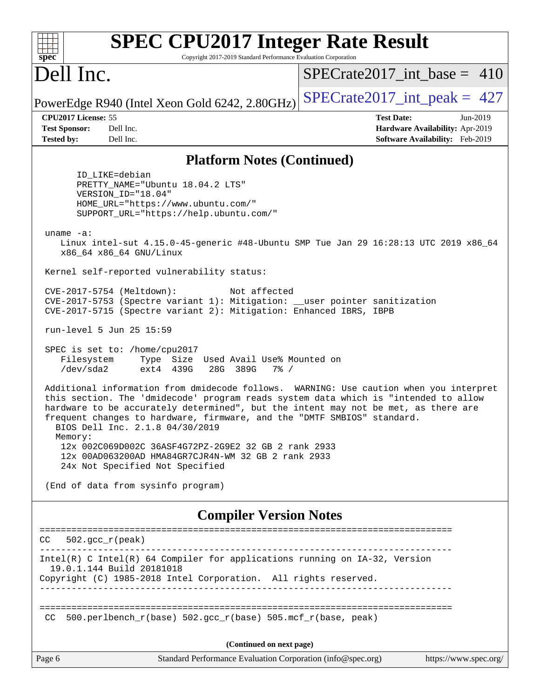| <b>SPEC CPU2017 Integer Rate Result</b><br>Copyright 2017-2019 Standard Performance Evaluation Corporation<br>$spec^*$                                                                                                                                                                                                                                                                       |                                                                                                              |
|----------------------------------------------------------------------------------------------------------------------------------------------------------------------------------------------------------------------------------------------------------------------------------------------------------------------------------------------------------------------------------------------|--------------------------------------------------------------------------------------------------------------|
| Dell Inc.                                                                                                                                                                                                                                                                                                                                                                                    | $SPECrate2017$ int base = 410                                                                                |
| PowerEdge R940 (Intel Xeon Gold 6242, 2.80GHz)                                                                                                                                                                                                                                                                                                                                               | $SPECTate2017\_int\_peak = 427$                                                                              |
| CPU2017 License: 55<br><b>Test Sponsor:</b><br>Dell Inc.<br><b>Tested by:</b><br>Dell Inc.                                                                                                                                                                                                                                                                                                   | <b>Test Date:</b><br>$Jun-2019$<br>Hardware Availability: Apr-2019<br><b>Software Availability:</b> Feb-2019 |
| <b>Platform Notes (Continued)</b>                                                                                                                                                                                                                                                                                                                                                            |                                                                                                              |
| ID LIKE=debian<br>PRETTY NAME="Ubuntu 18.04.2 LTS"<br>VERSION_ID="18.04"<br>HOME_URL="https://www.ubuntu.com/"<br>SUPPORT_URL="https://help.ubuntu.com/"                                                                                                                                                                                                                                     |                                                                                                              |
| uname $-a$ :<br>Linux intel-sut 4.15.0-45-generic #48-Ubuntu SMP Tue Jan 29 16:28:13 UTC 2019 x86_64<br>x86_64 x86_64 GNU/Linux                                                                                                                                                                                                                                                              |                                                                                                              |
| Kernel self-reported vulnerability status:                                                                                                                                                                                                                                                                                                                                                   |                                                                                                              |
| Not affected<br>CVE-2017-5754 (Meltdown):<br>CVE-2017-5753 (Spectre variant 1): Mitigation: __user pointer sanitization<br>CVE-2017-5715 (Spectre variant 2): Mitigation: Enhanced IBRS, IBPB                                                                                                                                                                                                |                                                                                                              |
| run-level 5 Jun 25 15:59                                                                                                                                                                                                                                                                                                                                                                     |                                                                                                              |
| SPEC is set to: /home/cpu2017<br>Filesystem<br>Type Size Used Avail Use% Mounted on<br>/dev/sda2<br>ext4 439G<br>28G 389G<br>$7\%$ /                                                                                                                                                                                                                                                         |                                                                                                              |
| Additional information from dmidecode follows. WARNING: Use caution when you interpret<br>this section. The 'dmidecode' program reads system data which is "intended to allow<br>hardware to be accurately determined", but the intent may not be met, as there are<br>frequent changes to hardware, firmware, and the "DMTF SMBIOS" standard.<br>BIOS Dell Inc. 2.1.8 04/30/2019<br>Memory: |                                                                                                              |
| 12x 002C069D002C 36ASF4G72PZ-2G9E2 32 GB 2 rank 2933<br>12x 00AD063200AD HMA84GR7CJR4N-WM 32 GB 2 rank 2933<br>24x Not Specified Not Specified                                                                                                                                                                                                                                               |                                                                                                              |
| (End of data from sysinfo program)                                                                                                                                                                                                                                                                                                                                                           |                                                                                                              |
| <b>Compiler Version Notes</b>                                                                                                                                                                                                                                                                                                                                                                |                                                                                                              |
| $502.\text{qcc }r(\text{peak})$<br>CC.                                                                                                                                                                                                                                                                                                                                                       |                                                                                                              |
| Intel(R) C Intel(R) 64 Compiler for applications running on IA-32, Version<br>19.0.1.144 Build 20181018<br>Copyright (C) 1985-2018 Intel Corporation. All rights reserved.                                                                                                                                                                                                                   |                                                                                                              |
|                                                                                                                                                                                                                                                                                                                                                                                              |                                                                                                              |
| 500.perlbench_r(base) 502.gcc_r(base) 505.mcf_r(base, peak)<br>CC.                                                                                                                                                                                                                                                                                                                           |                                                                                                              |
| (Continued on next page)                                                                                                                                                                                                                                                                                                                                                                     |                                                                                                              |
| Page 6<br>Standard Performance Evaluation Corporation (info@spec.org)                                                                                                                                                                                                                                                                                                                        | https://www.spec.org/                                                                                        |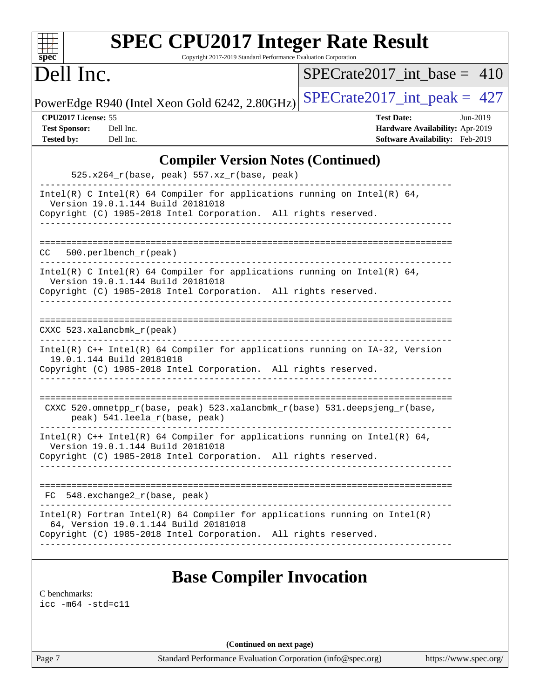| <b>SPEC CPU2017 Integer Rate Result</b>                                                                                                                                                                              |                                                                                                     |
|----------------------------------------------------------------------------------------------------------------------------------------------------------------------------------------------------------------------|-----------------------------------------------------------------------------------------------------|
| $spec^*$<br>Copyright 2017-2019 Standard Performance Evaluation Corporation                                                                                                                                          |                                                                                                     |
| Dell Inc.                                                                                                                                                                                                            | $SPECrate2017$ int base = 410                                                                       |
| PowerEdge R940 (Intel Xeon Gold 6242, 2.80GHz)                                                                                                                                                                       | $SPECrate2017\_int\_peak = 427$                                                                     |
| CPU2017 License: 55<br><b>Test Sponsor:</b><br>Dell Inc.<br><b>Tested by:</b><br>Dell Inc.                                                                                                                           | <b>Test Date:</b><br>Jun-2019<br>Hardware Availability: Apr-2019<br>Software Availability: Feb-2019 |
| <b>Compiler Version Notes (Continued)</b><br>525.x264_r(base, peak) 557.xz_r(base, peak)                                                                                                                             |                                                                                                     |
| Intel(R) C Intel(R) 64 Compiler for applications running on Intel(R) 64,<br>Version 19.0.1.144 Build 20181018<br>Copyright (C) 1985-2018 Intel Corporation. All rights reserved.<br>________________________________ |                                                                                                     |
| 500.perlbench_r(peak)<br>CC.                                                                                                                                                                                         |                                                                                                     |
| Intel(R) C Intel(R) 64 Compiler for applications running on Intel(R) 64,<br>Version 19.0.1.144 Build 20181018<br>Copyright (C) 1985-2018 Intel Corporation. All rights reserved.<br>-------------------------------- |                                                                                                     |
| $CXXC$ 523.xalancbmk $r(\text{peak})$                                                                                                                                                                                |                                                                                                     |
| Intel(R) C++ Intel(R) 64 Compiler for applications running on IA-32, Version<br>19.0.1.144 Build 20181018<br>Copyright (C) 1985-2018 Intel Corporation. All rights reserved.                                         |                                                                                                     |
| CXXC 520.omnetpp_r(base, peak) 523.xalancbmk_r(base) 531.deepsjeng_r(base,<br>peak) 541.leela_r(base, peak)                                                                                                          |                                                                                                     |
| ---------------------<br>Intel(R) $C++$ Intel(R) 64 Compiler for applications running on Intel(R) 64,<br>Version 19.0.1.144 Build 20181018<br>Copyright (C) 1985-2018 Intel Corporation. All rights reserved.        |                                                                                                     |
| FC 548.exchange2_r(base, peak)                                                                                                                                                                                       |                                                                                                     |
| $Intel(R)$ Fortran Intel(R) 64 Compiler for applications running on Intel(R)<br>64, Version 19.0.1.144 Build 20181018<br>Copyright (C) 1985-2018 Intel Corporation. All rights reserved.                             |                                                                                                     |
| <b>Base Compiler Invocation</b><br>C benchmarks:<br>$\text{icc -m64 -std=c11}$                                                                                                                                       |                                                                                                     |

**(Continued on next page)**

Page 7 Standard Performance Evaluation Corporation [\(info@spec.org\)](mailto:info@spec.org) <https://www.spec.org/>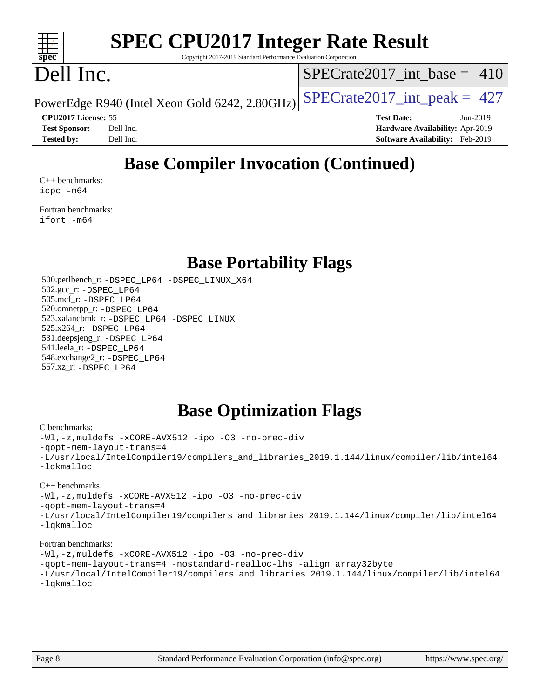

# **[SPEC CPU2017 Integer Rate Result](http://www.spec.org/auto/cpu2017/Docs/result-fields.html#SPECCPU2017IntegerRateResult)**

Copyright 2017-2019 Standard Performance Evaluation Corporation

# Dell Inc.

[SPECrate2017\\_int\\_base =](http://www.spec.org/auto/cpu2017/Docs/result-fields.html#SPECrate2017intbase) 410

PowerEdge R940 (Intel Xeon Gold 6242, 2.80GHz)  $\text{SPECrate}2017\_int\_peak = 427$ 

**[Tested by:](http://www.spec.org/auto/cpu2017/Docs/result-fields.html#Testedby)** Dell Inc. **[Software Availability:](http://www.spec.org/auto/cpu2017/Docs/result-fields.html#SoftwareAvailability)** Feb-2019

**[CPU2017 License:](http://www.spec.org/auto/cpu2017/Docs/result-fields.html#CPU2017License)** 55 **[Test Date:](http://www.spec.org/auto/cpu2017/Docs/result-fields.html#TestDate)** Jun-2019 **[Test Sponsor:](http://www.spec.org/auto/cpu2017/Docs/result-fields.html#TestSponsor)** Dell Inc. **[Hardware Availability:](http://www.spec.org/auto/cpu2017/Docs/result-fields.html#HardwareAvailability)** Apr-2019

# **[Base Compiler Invocation \(Continued\)](http://www.spec.org/auto/cpu2017/Docs/result-fields.html#BaseCompilerInvocation)**

[C++ benchmarks:](http://www.spec.org/auto/cpu2017/Docs/result-fields.html#CXXbenchmarks) [icpc -m64](http://www.spec.org/cpu2017/results/res2019q3/cpu2017-20190708-15932.flags.html#user_CXXbase_intel_icpc_64bit_4ecb2543ae3f1412ef961e0650ca070fec7b7afdcd6ed48761b84423119d1bf6bdf5cad15b44d48e7256388bc77273b966e5eb805aefd121eb22e9299b2ec9d9)

[Fortran benchmarks](http://www.spec.org/auto/cpu2017/Docs/result-fields.html#Fortranbenchmarks): [ifort -m64](http://www.spec.org/cpu2017/results/res2019q3/cpu2017-20190708-15932.flags.html#user_FCbase_intel_ifort_64bit_24f2bb282fbaeffd6157abe4f878425411749daecae9a33200eee2bee2fe76f3b89351d69a8130dd5949958ce389cf37ff59a95e7a40d588e8d3a57e0c3fd751)

## **[Base Portability Flags](http://www.spec.org/auto/cpu2017/Docs/result-fields.html#BasePortabilityFlags)**

 500.perlbench\_r: [-DSPEC\\_LP64](http://www.spec.org/cpu2017/results/res2019q3/cpu2017-20190708-15932.flags.html#b500.perlbench_r_basePORTABILITY_DSPEC_LP64) [-DSPEC\\_LINUX\\_X64](http://www.spec.org/cpu2017/results/res2019q3/cpu2017-20190708-15932.flags.html#b500.perlbench_r_baseCPORTABILITY_DSPEC_LINUX_X64) 502.gcc\_r: [-DSPEC\\_LP64](http://www.spec.org/cpu2017/results/res2019q3/cpu2017-20190708-15932.flags.html#suite_basePORTABILITY502_gcc_r_DSPEC_LP64) 505.mcf\_r: [-DSPEC\\_LP64](http://www.spec.org/cpu2017/results/res2019q3/cpu2017-20190708-15932.flags.html#suite_basePORTABILITY505_mcf_r_DSPEC_LP64) 520.omnetpp\_r: [-DSPEC\\_LP64](http://www.spec.org/cpu2017/results/res2019q3/cpu2017-20190708-15932.flags.html#suite_basePORTABILITY520_omnetpp_r_DSPEC_LP64) 523.xalancbmk\_r: [-DSPEC\\_LP64](http://www.spec.org/cpu2017/results/res2019q3/cpu2017-20190708-15932.flags.html#suite_basePORTABILITY523_xalancbmk_r_DSPEC_LP64) [-DSPEC\\_LINUX](http://www.spec.org/cpu2017/results/res2019q3/cpu2017-20190708-15932.flags.html#b523.xalancbmk_r_baseCXXPORTABILITY_DSPEC_LINUX) 525.x264\_r: [-DSPEC\\_LP64](http://www.spec.org/cpu2017/results/res2019q3/cpu2017-20190708-15932.flags.html#suite_basePORTABILITY525_x264_r_DSPEC_LP64) 531.deepsjeng\_r: [-DSPEC\\_LP64](http://www.spec.org/cpu2017/results/res2019q3/cpu2017-20190708-15932.flags.html#suite_basePORTABILITY531_deepsjeng_r_DSPEC_LP64) 541.leela\_r: [-DSPEC\\_LP64](http://www.spec.org/cpu2017/results/res2019q3/cpu2017-20190708-15932.flags.html#suite_basePORTABILITY541_leela_r_DSPEC_LP64) 548.exchange2\_r: [-DSPEC\\_LP64](http://www.spec.org/cpu2017/results/res2019q3/cpu2017-20190708-15932.flags.html#suite_basePORTABILITY548_exchange2_r_DSPEC_LP64) 557.xz\_r: [-DSPEC\\_LP64](http://www.spec.org/cpu2017/results/res2019q3/cpu2017-20190708-15932.flags.html#suite_basePORTABILITY557_xz_r_DSPEC_LP64)

## **[Base Optimization Flags](http://www.spec.org/auto/cpu2017/Docs/result-fields.html#BaseOptimizationFlags)**

### [C benchmarks](http://www.spec.org/auto/cpu2017/Docs/result-fields.html#Cbenchmarks):

[-Wl,-z,muldefs](http://www.spec.org/cpu2017/results/res2019q3/cpu2017-20190708-15932.flags.html#user_CCbase_link_force_multiple1_b4cbdb97b34bdee9ceefcfe54f4c8ea74255f0b02a4b23e853cdb0e18eb4525ac79b5a88067c842dd0ee6996c24547a27a4b99331201badda8798ef8a743f577) [-xCORE-AVX512](http://www.spec.org/cpu2017/results/res2019q3/cpu2017-20190708-15932.flags.html#user_CCbase_f-xCORE-AVX512) [-ipo](http://www.spec.org/cpu2017/results/res2019q3/cpu2017-20190708-15932.flags.html#user_CCbase_f-ipo) [-O3](http://www.spec.org/cpu2017/results/res2019q3/cpu2017-20190708-15932.flags.html#user_CCbase_f-O3) [-no-prec-div](http://www.spec.org/cpu2017/results/res2019q3/cpu2017-20190708-15932.flags.html#user_CCbase_f-no-prec-div) [-qopt-mem-layout-trans=4](http://www.spec.org/cpu2017/results/res2019q3/cpu2017-20190708-15932.flags.html#user_CCbase_f-qopt-mem-layout-trans_fa39e755916c150a61361b7846f310bcdf6f04e385ef281cadf3647acec3f0ae266d1a1d22d972a7087a248fd4e6ca390a3634700869573d231a252c784941a8) [-L/usr/local/IntelCompiler19/compilers\\_and\\_libraries\\_2019.1.144/linux/compiler/lib/intel64](http://www.spec.org/cpu2017/results/res2019q3/cpu2017-20190708-15932.flags.html#user_CCbase_qkmalloc_link_f25da0aa8cf9bced0533715046f0c2fbfb1a7191e3e496916672e09b4c388a884c4c7e4862cb529343da2264b43416df65c99fd1ddbf5dd13ae6d3130cf47881) [-lqkmalloc](http://www.spec.org/cpu2017/results/res2019q3/cpu2017-20190708-15932.flags.html#user_CCbase_qkmalloc_link_lib_79a818439969f771c6bc311cfd333c00fc099dad35c030f5aab9dda831713d2015205805422f83de8875488a2991c0a156aaa600e1f9138f8fc37004abc96dc5)

### [C++ benchmarks](http://www.spec.org/auto/cpu2017/Docs/result-fields.html#CXXbenchmarks):

[-Wl,-z,muldefs](http://www.spec.org/cpu2017/results/res2019q3/cpu2017-20190708-15932.flags.html#user_CXXbase_link_force_multiple1_b4cbdb97b34bdee9ceefcfe54f4c8ea74255f0b02a4b23e853cdb0e18eb4525ac79b5a88067c842dd0ee6996c24547a27a4b99331201badda8798ef8a743f577) [-xCORE-AVX512](http://www.spec.org/cpu2017/results/res2019q3/cpu2017-20190708-15932.flags.html#user_CXXbase_f-xCORE-AVX512) [-ipo](http://www.spec.org/cpu2017/results/res2019q3/cpu2017-20190708-15932.flags.html#user_CXXbase_f-ipo) [-O3](http://www.spec.org/cpu2017/results/res2019q3/cpu2017-20190708-15932.flags.html#user_CXXbase_f-O3) [-no-prec-div](http://www.spec.org/cpu2017/results/res2019q3/cpu2017-20190708-15932.flags.html#user_CXXbase_f-no-prec-div) [-qopt-mem-layout-trans=4](http://www.spec.org/cpu2017/results/res2019q3/cpu2017-20190708-15932.flags.html#user_CXXbase_f-qopt-mem-layout-trans_fa39e755916c150a61361b7846f310bcdf6f04e385ef281cadf3647acec3f0ae266d1a1d22d972a7087a248fd4e6ca390a3634700869573d231a252c784941a8) [-L/usr/local/IntelCompiler19/compilers\\_and\\_libraries\\_2019.1.144/linux/compiler/lib/intel64](http://www.spec.org/cpu2017/results/res2019q3/cpu2017-20190708-15932.flags.html#user_CXXbase_qkmalloc_link_f25da0aa8cf9bced0533715046f0c2fbfb1a7191e3e496916672e09b4c388a884c4c7e4862cb529343da2264b43416df65c99fd1ddbf5dd13ae6d3130cf47881)

[-lqkmalloc](http://www.spec.org/cpu2017/results/res2019q3/cpu2017-20190708-15932.flags.html#user_CXXbase_qkmalloc_link_lib_79a818439969f771c6bc311cfd333c00fc099dad35c030f5aab9dda831713d2015205805422f83de8875488a2991c0a156aaa600e1f9138f8fc37004abc96dc5)

### [Fortran benchmarks](http://www.spec.org/auto/cpu2017/Docs/result-fields.html#Fortranbenchmarks):

```
-Wl,-z,muldefs -xCORE-AVX512 -ipo -O3 -no-prec-div
-qopt-mem-layout-trans=4 -nostandard-realloc-lhs -align array32byte
-L/usr/local/IntelCompiler19/compilers_and_libraries_2019.1.144/linux/compiler/lib/intel64
-lqkmalloc
```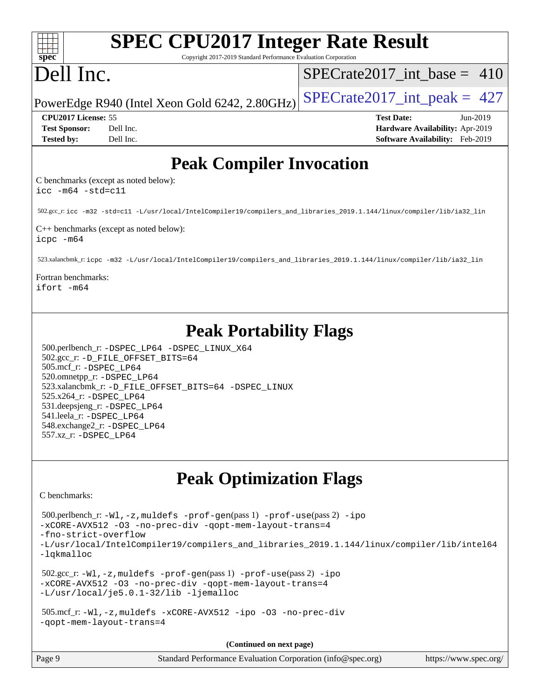| <b>SPEC CPU2017 Integer Rate Result</b>                                                                                                                                                                                                                                                                                                                                              |                                                                                                     |
|--------------------------------------------------------------------------------------------------------------------------------------------------------------------------------------------------------------------------------------------------------------------------------------------------------------------------------------------------------------------------------------|-----------------------------------------------------------------------------------------------------|
| spec<br>Copyright 2017-2019 Standard Performance Evaluation Corporation<br>Dell Inc.                                                                                                                                                                                                                                                                                                 | $SPECrate2017\_int\_base = 410$                                                                     |
|                                                                                                                                                                                                                                                                                                                                                                                      |                                                                                                     |
| PowerEdge R940 (Intel Xeon Gold 6242, 2.80GHz)                                                                                                                                                                                                                                                                                                                                       | $SPECrate2017\_int\_peak = 427$                                                                     |
| CPU2017 License: 55<br><b>Test Sponsor:</b><br>Dell Inc.<br>Dell Inc.<br><b>Tested by:</b>                                                                                                                                                                                                                                                                                           | <b>Test Date:</b><br>Jun-2019<br>Hardware Availability: Apr-2019<br>Software Availability: Feb-2019 |
| <b>Peak Compiler Invocation</b>                                                                                                                                                                                                                                                                                                                                                      |                                                                                                     |
| C benchmarks (except as noted below):<br>$\text{icc -m64 -std=c11}$                                                                                                                                                                                                                                                                                                                  |                                                                                                     |
| 502.gcc_r: icc -m32 -std=c11 -L/usr/local/IntelCompiler19/compilers_and_libraries_2019.1.144/linux/compiler/lib/ia32_lin                                                                                                                                                                                                                                                             |                                                                                                     |
| C++ benchmarks (except as noted below):<br>$icpc - m64$                                                                                                                                                                                                                                                                                                                              |                                                                                                     |
| 523.xalancbmk_r:icpc -m32 -L/usr/local/IntelCompiler19/compilers_and_libraries_2019.1.144/linux/compiler/lib/ia32_lin                                                                                                                                                                                                                                                                |                                                                                                     |
| Fortran benchmarks:<br>ifort -m64                                                                                                                                                                                                                                                                                                                                                    |                                                                                                     |
| <b>Peak Portability Flags</b><br>500.perlbench_r: -DSPEC_LP64 -DSPEC_LINUX_X64<br>502.gcc_r: -D_FILE_OFFSET_BITS=64<br>505.mcf_r: -DSPEC_LP64<br>520.omnetpp_r: -DSPEC_LP64<br>523.xalancbmk_r: -D_FILE_OFFSET_BITS=64 -DSPEC_LINUX<br>525.x264_r: - DSPEC LP64<br>531.deepsjeng_r: -DSPEC_LP64<br>541.leela_r: -DSPEC_LP64<br>548.exchange2_r: -DSPEC LP64<br>557.xz_r: -DSPEC LP64 |                                                                                                     |
| <b>Peak Optimization Flags</b>                                                                                                                                                                                                                                                                                                                                                       |                                                                                                     |
| C benchmarks:                                                                                                                                                                                                                                                                                                                                                                        |                                                                                                     |
| 500.perlbench_r: -Wl,-z, muldefs -prof-gen(pass 1) -prof-use(pass 2) -ipo<br>-xCORE-AVX512 -03 -no-prec-div -qopt-mem-layout-trans=4                                                                                                                                                                                                                                                 |                                                                                                     |
| -fno-strict-overflow<br>-L/usr/local/IntelCompiler19/compilers_and_libraries_2019.1.144/linux/compiler/lib/intel64<br>-lqkmalloc                                                                                                                                                                                                                                                     |                                                                                                     |
| $502.\text{sec\_r: } -W1$ , $-z$ , muldefs $-prof-gen(pass1)$ $-prof-use(pass2)$ $-ipo$<br>-xCORE-AVX512 -03 -no-prec-div -qopt-mem-layout-trans=4<br>-L/usr/local/je5.0.1-32/lib -ljemalloc                                                                                                                                                                                         |                                                                                                     |
| 505.mcf_r: -Wl, -z, muldefs -xCORE-AVX512 -ipo -03 -no-prec-div<br>-gopt-mem-layout-trans=4                                                                                                                                                                                                                                                                                          |                                                                                                     |
| (Continued on next page)                                                                                                                                                                                                                                                                                                                                                             |                                                                                                     |

Page 9 Standard Performance Evaluation Corporation [\(info@spec.org\)](mailto:info@spec.org) <https://www.spec.org/>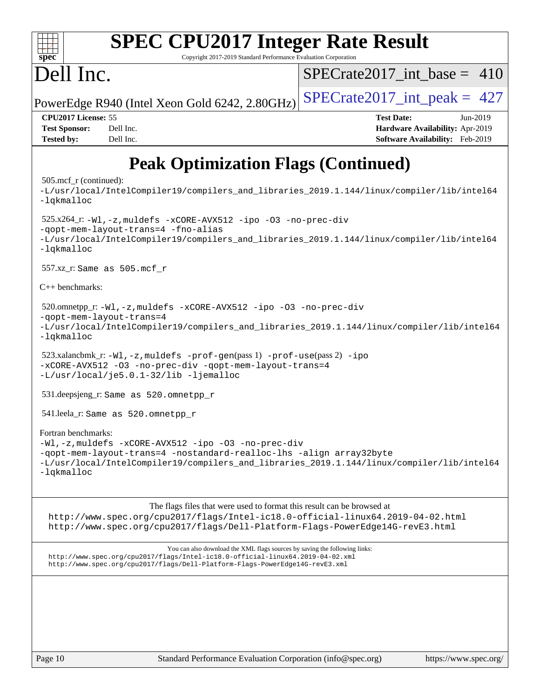| spec                                           | <b>SPEC CPU2017 Integer Rate Result</b><br>Copyright 2017-2019 Standard Performance Evaluation Corporation   |                                                                                            |
|------------------------------------------------|--------------------------------------------------------------------------------------------------------------|--------------------------------------------------------------------------------------------|
| Dell Inc.                                      |                                                                                                              | SPECrate2017 int base = $410$                                                              |
|                                                | PowerEdge R940 (Intel Xeon Gold 6242, 2.80GHz)                                                               | $SPECTate2017\_int\_peak = 427$                                                            |
| CPU2017 License: 55                            |                                                                                                              | <b>Test Date:</b><br>Jun-2019                                                              |
| <b>Test Sponsor:</b>                           | Dell Inc.                                                                                                    | Hardware Availability: Apr-2019                                                            |
| <b>Tested by:</b>                              | Dell Inc.                                                                                                    | <b>Software Availability:</b> Feb-2019                                                     |
|                                                | <b>Peak Optimization Flags (Continued)</b>                                                                   |                                                                                            |
| $505 \text{.mcf}_r$ (continued):<br>-lgkmalloc |                                                                                                              | -L/usr/local/IntelCompiler19/compilers and libraries 2019.1.144/linux/compiler/lib/intel64 |
| -lgkmalloc                                     | $525.x264_r: -W1, -z$ , muldefs $-xCORE-AVX512$ -ipo -03 -no-prec-div<br>-qopt-mem-layout-trans=4 -fno-alias | -L/usr/local/IntelCompiler19/compilers_and_libraries_2019.1.144/linux/compiler/lib/intel64 |
|                                                | $557.xz$ _r: Same as $505.mcf_r$                                                                             |                                                                                            |
| $C_{++}$ benchmarks:                           |                                                                                                              |                                                                                            |

```
 520.omnetpp_r: -Wl,-z,muldefs -xCORE-AVX512 -ipo -O3 -no-prec-div
-qopt-mem-layout-trans=4
-L/usr/local/IntelCompiler19/compilers_and_libraries_2019.1.144/linux/compiler/lib/intel64
```

```
-lqkmalloc
```

```
523.xalancbmk_r: -W1, -z, muldefs -prof-qen(pass 1) -prof-use-ipo-xCORE-AVX512 -O3 -no-prec-div -qopt-mem-layout-trans=4
-L/usr/local/je5.0.1-32/lib -ljemalloc
```
531.deepsjeng\_r: Same as 520.omnetpp\_r

541.leela\_r: Same as 520.omnetpp\_r

[Fortran benchmarks:](http://www.spec.org/auto/cpu2017/Docs/result-fields.html#Fortranbenchmarks) [-Wl,-z,muldefs](http://www.spec.org/cpu2017/results/res2019q3/cpu2017-20190708-15932.flags.html#user_FCpeak_link_force_multiple1_b4cbdb97b34bdee9ceefcfe54f4c8ea74255f0b02a4b23e853cdb0e18eb4525ac79b5a88067c842dd0ee6996c24547a27a4b99331201badda8798ef8a743f577) [-xCORE-AVX512](http://www.spec.org/cpu2017/results/res2019q3/cpu2017-20190708-15932.flags.html#user_FCpeak_f-xCORE-AVX512) [-ipo](http://www.spec.org/cpu2017/results/res2019q3/cpu2017-20190708-15932.flags.html#user_FCpeak_f-ipo) [-O3](http://www.spec.org/cpu2017/results/res2019q3/cpu2017-20190708-15932.flags.html#user_FCpeak_f-O3) [-no-prec-div](http://www.spec.org/cpu2017/results/res2019q3/cpu2017-20190708-15932.flags.html#user_FCpeak_f-no-prec-div) [-qopt-mem-layout-trans=4](http://www.spec.org/cpu2017/results/res2019q3/cpu2017-20190708-15932.flags.html#user_FCpeak_f-qopt-mem-layout-trans_fa39e755916c150a61361b7846f310bcdf6f04e385ef281cadf3647acec3f0ae266d1a1d22d972a7087a248fd4e6ca390a3634700869573d231a252c784941a8) [-nostandard-realloc-lhs](http://www.spec.org/cpu2017/results/res2019q3/cpu2017-20190708-15932.flags.html#user_FCpeak_f_2003_std_realloc_82b4557e90729c0f113870c07e44d33d6f5a304b4f63d4c15d2d0f1fab99f5daaed73bdb9275d9ae411527f28b936061aa8b9c8f2d63842963b95c9dd6426b8a) [-align array32byte](http://www.spec.org/cpu2017/results/res2019q3/cpu2017-20190708-15932.flags.html#user_FCpeak_align_array32byte_b982fe038af199962ba9a80c053b8342c548c85b40b8e86eb3cc33dee0d7986a4af373ac2d51c3f7cf710a18d62fdce2948f201cd044323541f22fc0fffc51b6) [-L/usr/local/IntelCompiler19/compilers\\_and\\_libraries\\_2019.1.144/linux/compiler/lib/intel64](http://www.spec.org/cpu2017/results/res2019q3/cpu2017-20190708-15932.flags.html#user_FCpeak_qkmalloc_link_f25da0aa8cf9bced0533715046f0c2fbfb1a7191e3e496916672e09b4c388a884c4c7e4862cb529343da2264b43416df65c99fd1ddbf5dd13ae6d3130cf47881) [-lqkmalloc](http://www.spec.org/cpu2017/results/res2019q3/cpu2017-20190708-15932.flags.html#user_FCpeak_qkmalloc_link_lib_79a818439969f771c6bc311cfd333c00fc099dad35c030f5aab9dda831713d2015205805422f83de8875488a2991c0a156aaa600e1f9138f8fc37004abc96dc5)

The flags files that were used to format this result can be browsed at

<http://www.spec.org/cpu2017/flags/Intel-ic18.0-official-linux64.2019-04-02.html> <http://www.spec.org/cpu2017/flags/Dell-Platform-Flags-PowerEdge14G-revE3.html>

You can also download the XML flags sources by saving the following links: <http://www.spec.org/cpu2017/flags/Intel-ic18.0-official-linux64.2019-04-02.xml> <http://www.spec.org/cpu2017/flags/Dell-Platform-Flags-PowerEdge14G-revE3.xml>